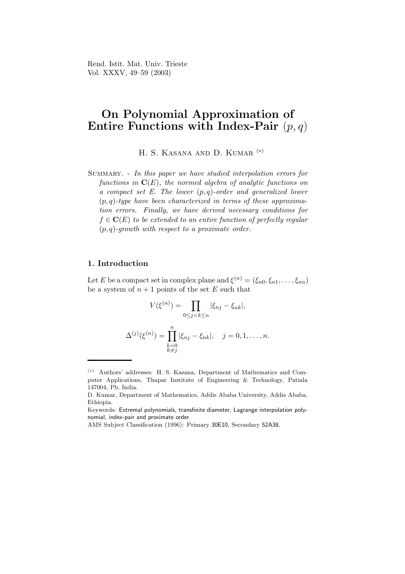Rend. Istit. Mat. Univ. Trieste Vol. XXXV, 49–59 (2003)

# On Polynomial Approximation of Entire Functions with Index-Pair  $(p, q)$

H. S. KASANA AND D. KUMAR<sup>(\*)</sup>

Summary. - In this paper we have studied interpolation errors for functions in  $\mathbf{C}(E)$ , the normed algebra of analytic functions on a compact set E. The lower  $(p,q)$ -order and generalized lower  $(p,q)$ -type have been characterized in terms of these approximation errors. Finally, we have derived necessary conditions for  $f \in \mathbf{C}(E)$  to be extended to an entire function of perfectly regular  $(p,q)$ -growth with respect to a proximate order.

#### 1. Introduction

Let E be a compact set in complex plane and  $\xi^{(n)} = (\xi_{n0}, \xi_{n1}, \dots, \xi_{nn})$ be a system of  $n + 1$  points of the set E such that

$$
V(\xi^{(n)}) = \prod_{0 \le j < k \le n} |\xi_{nj} - \xi_{nk}|,
$$
  

$$
\Delta^{(j)}(\xi^{(n)}) = \prod_{\substack{k=0\\k \ne j}}^n |\xi_{nj} - \xi_{nk}|, \quad j = 0, 1, \dots, n.
$$

<sup>(</sup>∗) Authors' addresses: H. S. Kasana, Department of Mathematics and Computer Applications, Thapar Institute of Engineering & Technology, Patiala 147004, Pb, India.

D. Kumar, Department of Mathematics, Addis Ababa University, Addis Ababa, Ethiopia.

Keywords: Extremal polynomials, transfinite diameter, Lagrange interpolation polynomial, index-pair and proximate order

AMS Subject Classification (1996): Primary 30E10, Secondary 52A38.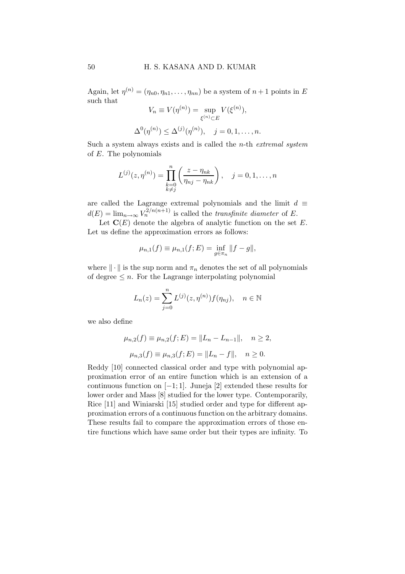Again, let  $\eta^{(n)} = (\eta_{n0}, \eta_{n1}, \dots, \eta_{nn})$  be a system of  $n+1$  points in E such that

$$
V_n \equiv V(\eta^{(n)}) = \sup_{\xi^{(n)} \subset E} V(\xi^{(n)}),
$$
  

$$
\Delta^0(\eta^{(n)}) \le \Delta^{(j)}(\eta^{(n)}), \quad j = 0, 1, \dots, n.
$$

Such a system always exists and is called the  $n$ -th *extremal system* of E. The polynomials

$$
L^{(j)}(z, \eta^{(n)}) = \prod_{\substack{k=0 \\ k \neq j}}^{n} \left( \frac{z - \eta_{nk}}{\eta_{nj} - \eta_{nk}} \right), \quad j = 0, 1, \dots, n
$$

are called the Lagrange extremal polynomials and the limit  $d \equiv$  $d(E) = \lim_{n \to \infty} V_n^{2/n(n+1)}$  is called the *transfinite diameter* of E.

Let  $\mathbf{C}(E)$  denote the algebra of analytic function on the set E. Let us define the approximation errors as follows:

$$
\mu_{n,1}(f) \equiv \mu_{n,1}(f;E) = \inf_{g \in \pi_n} ||f - g||,
$$

where  $\|\cdot\|$  is the sup norm and  $\pi_n$  denotes the set of all polynomials of degree  $\leq n$ . For the Lagrange interpolating polynomial

$$
L_n(z) = \sum_{j=0}^n L^{(j)}(z, \eta^{(n)}) f(\eta_{nj}), \quad n \in \mathbb{N}
$$

we also define

$$
\mu_{n,2}(f) \equiv \mu_{n,2}(f; E) = ||L_n - L_{n-1}||, \quad n \ge 2,
$$
  

$$
\mu_{n,3}(f) \equiv \mu_{n,3}(f; E) = ||L_n - f||, \quad n \ge 0.
$$

Reddy [10] connected classical order and type with polynomial approximation error of an entire function which is an extension of a continuous function on  $[-1, 1]$ . Juneja  $[2]$  extended these results for lower order and Mass [8] studied for the lower type. Contemporarily, Rice [11] and Winiarski [15] studied order and type for different approximation errors of a continuous function on the arbitrary domains. These results fail to compare the approximation errors of those entire functions which have same order but their types are infinity. To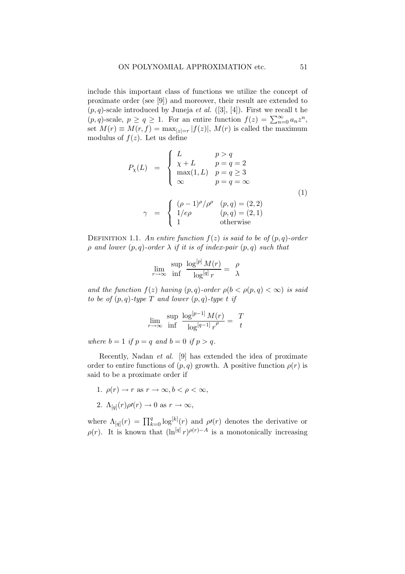include this important class of functions we utilize the concept of proximate order (see [9]) and moreover, their result are extended to  $(p,q)$ -scale introduced by Juneja *et al.* ([3], [4]). First we recall t he  $(p,q)$ -scale,  $p \ge q \ge 1$ . For an entire function  $f(z) = \sum_{n=0}^{\infty} a_n z^n$ , set  $M(r) \equiv M(r, f) = \max_{|z|=r} |f(z)|$ ,  $M(r)$  is called the maximum modulus of  $f(z)$ . Let us define

$$
P_{\chi}(L) = \begin{cases} L & p > q \\ \chi + L & p = q = 2 \\ \max(1, L) & p = q \ge 3 \\ \infty & p = q = \infty \end{cases}
$$
  
\n
$$
\gamma = \begin{cases} (\rho - 1)^{\rho}/\rho^{\rho} & (p, q) = (2, 2) \\ 1/\epsilon \rho & (p, q) = (2, 1) \\ 1 & \text{otherwise} \end{cases}
$$
  
\n(1)

DEFINITION 1.1. An entire function  $f(z)$  is said to be of  $(p,q)$ -order  $\rho$  and lower  $(p,q)$ -order  $\lambda$  if it is of index-pair  $(p,q)$  such that

$$
\lim_{r \to \infty} \frac{\sup}{\inf} \frac{\log^{[p]} M(r)}{\log^{[q]} r} = \frac{\rho}{\lambda}
$$

and the function  $f(z)$  having  $(p,q)$ -order  $\rho(b < \rho(p,q) < \infty)$  is said to be of  $(p, q)$ -type T and lower  $(p, q)$ -type t if

$$
\lim_{r \to \infty} \frac{\sup}{\inf} \frac{\log^{[p-1]} M(r)}{\log^{[q-1]} r^{\rho}} = \frac{T}{t}
$$

where  $b = 1$  if  $p = q$  and  $b = 0$  if  $p > q$ .

Recently, Nadan et al. [9] has extended the idea of proximate order to entire functions of  $(p, q)$  growth. A positive function  $\rho(r)$  is said to be a proximate order if

- 1.  $\rho(r) \rightarrow r$  as  $r \rightarrow \infty, b < \rho < \infty$ ,
- 2.  $\Lambda_{[q]}(r)\rho r(r) \to 0$  as  $r \to \infty$ ,

where  $\Lambda_{[q]}(r) = \prod_{k=0}^{q} \log^{[k]}(r)$  and  $\rho(r)$  denotes the derivative or  $\rho(r)$ . It is known that  $(\ln^{[q]} r)^{\rho(r)-A}$  is a monotonically increasing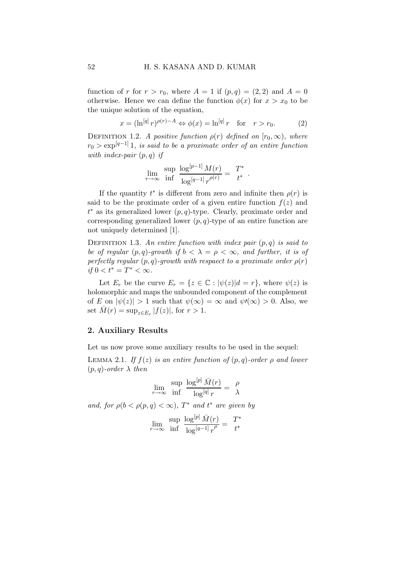function of r for  $r > r_0$ , where  $A = 1$  if  $(p,q) = (2,2)$  and  $A = 0$ otherwise. Hence we can define the function  $\phi(x)$  for  $x > x_0$  to be the unique solution of the equation,

$$
x = (\ln^{[q]} r)^{\rho(r)-A} \Leftrightarrow \phi(x) = \ln^{[q]} r \quad \text{for} \quad r > r_0. \tag{2}
$$

DEFINITION 1.2. A positive function  $\rho(r)$  defined on  $[r_0,\infty)$ , where  $r_0 > \exp^{[q-1]}1$ , is said to be a proximate order of an entire function with index-pair  $(p, q)$  if

$$
\lim_{r \to \infty} \frac{\sup}{\inf} \frac{\log^{[p-1]} M(r)}{\log^{[q-1]} r^{\rho(r)}} = \frac{T^*}{t^*} .
$$

If the quantity  $t^*$  is different from zero and infinite then  $\rho(r)$  is said to be the proximate order of a given entire function  $f(z)$  and  $t^*$  as its generalized lower  $(p, q)$ -type. Clearly, proximate order and corresponding generalized lower  $(p, q)$ -type of an entire function are not uniquely determined [1].

DEFINITION 1.3. An entire function with index pair  $(p,q)$  is said to be of regular  $(p, q)$ -growth if  $b < \lambda = \rho < \infty$ , and further, it is of perfectly regular  $(p, q)$ -growth with respact to a proximate order  $\rho(r)$ if 0 <  $t^* = T^*$  < ∞.

Let  $E_r$  be the curve  $E_r = \{z \in \mathbb{C} : |\psi(z)|d = r\}$ , where  $\psi(z)$  is holomorphic and maps the unbounded component of the complement of E on  $|\psi(z)| > 1$  such that  $\psi(\infty) = \infty$  and  $\psi'(\infty) > 0$ . Also, we set  $\bar{M}(r) = \sup_{z \in E_r} |f(z)|$ , for  $r > 1$ .

### 2. Auxiliary Results

Let us now prove some auxiliary results to be used in the sequel:

LEMMA 2.1. If  $f(z)$  is an entire function of  $(p,q)$ -order  $\rho$  and lower  $(p,q)$ -order  $\lambda$  then

$$
\lim_{r \to \infty} \frac{\sup}{\inf} \frac{\log^{[p]} \bar{M}(r)}{\log^{[q]} r} = \frac{\rho}{\lambda}
$$

and, for  $\rho(b < \rho(p,q) < \infty)$ ,  $T^*$  and  $t^*$  are given by

$$
\lim_{r \to \infty} \frac{\sup}{\inf} \frac{\log^{[p]} \bar{M}(r)}{\log^{[q-1]} r^{\rho}} = \frac{T^*}{t^*}
$$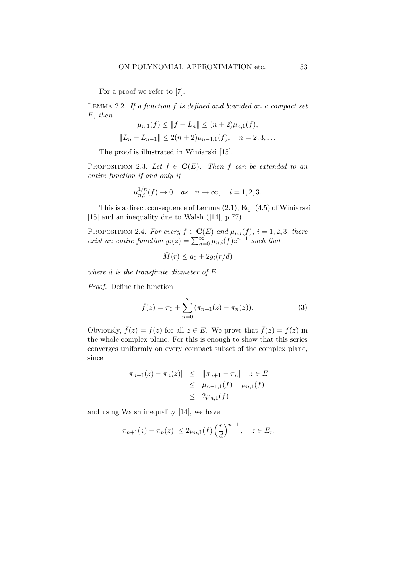For a proof we refer to [7].

LEMMA 2.2. If a function  $f$  is defined and bounded an a compact set E, then

$$
\mu_{n,1}(f) \le ||f - L_n|| \le (n+2)\mu_{n,1}(f),
$$
  

$$
||L_n - L_{n-1}|| \le 2(n+2)\mu_{n-1,1}(f), \quad n = 2, 3, ...
$$

The proof is illustrated in Winiarski [15].

PROPOSITION 2.3. Let  $f \in \mathbf{C}(E)$ . Then f can be extended to an entire function if and only if

$$
\mu_{n,i}^{1/n}(f) \to 0 \quad as \quad n \to \infty, \quad i = 1, 2, 3.
$$

This is a direct consequence of Lemma (2.1), Eq. (4.5) of Winiarski [15] and an inequality due to Walsh ([14], p.77).

PROPOSITION 2.4. For every  $f \in \mathbf{C}(E)$  and  $\mu_{n,i}(f)$ ,  $i = 1, 2, 3$ , there exist an entire function  $g_i(z) = \sum_{n=0}^{\infty} \mu_{n,i}(f) z^{n+1}$  such that

$$
\bar{M}(r) \le a_0 + 2g_i(r/d)
$$

where d is the transfinite diameter of E.

Proof. Define the function

$$
\bar{f}(z) = \pi_0 + \sum_{n=0}^{\infty} (\pi_{n+1}(z) - \pi_n(z)).
$$
 (3)

Obviously,  $\bar{f}(z) = f(z)$  for all  $z \in E$ . We prove that  $\bar{f}(z) = f(z)$  in the whole complex plane. For this is enough to show that this series converges uniformly on every compact subset of the complex plane, since

$$
|\pi_{n+1}(z) - \pi_n(z)| \leq ||\pi_{n+1} - \pi_n|| \quad z \in E
$$
  
\n
$$
\leq \mu_{n+1,1}(f) + \mu_{n,1}(f)
$$
  
\n
$$
\leq 2\mu_{n,1}(f),
$$

and using Walsh inequality [14], we have

$$
|\pi_{n+1}(z) - \pi_n(z)| \leq 2\mu_{n,1}(f) \left(\frac{r}{d}\right)^{n+1}, \quad z \in E_r.
$$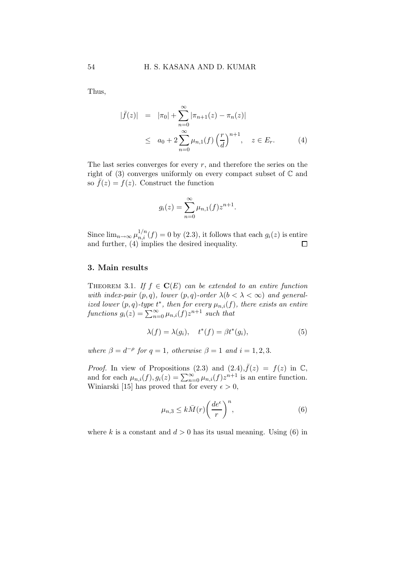Thus,

$$
|\bar{f}(z)| = |\pi_0| + \sum_{n=0}^{\infty} |\pi_{n+1}(z) - \pi_n(z)|
$$
  
 
$$
\leq a_0 + 2 \sum_{n=0}^{\infty} \mu_{n,1}(f) \left(\frac{r}{d}\right)^{n+1}, \quad z \in E_r.
$$
 (4)

The last series converges for every  $r$ , and therefore the series on the right of (3) converges uniformly on every compact subset of  $\mathbb C$  and so  $\bar{f}(z) = f(z)$ . Construct the function

$$
g_i(z) = \sum_{n=0}^{\infty} \mu_{n,1}(f) z^{n+1}.
$$

Since  $\lim_{n\to\infty}\mu_{n,i}^{1/n}(f)=0$  by  $(2.3)$ , it follows that each  $g_i(z)$  is entire and further, (4) implies the desired inequality.

## 3. Main results

THEOREM 3.1. If  $f \in \mathbf{C}(E)$  can be extended to an entire function with index-pair  $(p, q)$ , lower  $(p, q)$ -order  $\lambda(b < \lambda < \infty)$  and generalized lower  $(p, q)$ -type  $t^*$ , then for every  $\mu_{n,i}(f)$ , there exists an entire functions  $g_i(z) = \sum_{n=0}^{\infty} \mu_{n,i}(f) z^{n+1}$  such that

$$
\lambda(f) = \lambda(g_i), \quad t^*(f) = \beta t^*(g_i), \tag{5}
$$

where  $\beta = d^{-\rho}$  for  $q = 1$ , otherwise  $\beta = 1$  and  $i = 1, 2, 3$ .

*Proof.* In view of Propositions (2.3) and (2.4),  $\bar{f}(z) = f(z)$  in  $\mathbb{C}$ , and for each  $\mu_{n,i}(f)$ ,  $g_i(z) = \sum_{n=0}^{\infty} \mu_{n,i}(f) z^{n+1}$  is an entire function. Winiarski [15] has proved that for every  $\epsilon > 0$ ,

$$
\mu_{n,3} \le k\bar{M}(r) \left(\frac{de^{\epsilon}}{r}\right)^n,\tag{6}
$$

where k is a constant and  $d > 0$  has its usual meaning. Using (6) in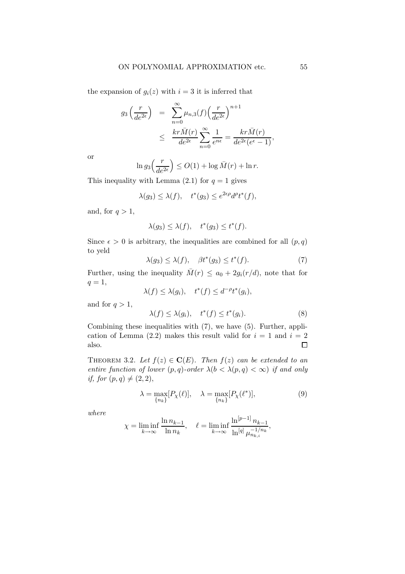the expansion of  $g_i(z)$  with  $i = 3$  it is inferred that

$$
g_3\left(\frac{r}{de^{2\epsilon}}\right) = \sum_{n=0}^{\infty} \mu_{n,3}(f) \left(\frac{r}{de^{2\epsilon}}\right)^{n+1}
$$
  
 
$$
\leq \frac{kr\bar{M}(r)}{de^{2\epsilon}} \sum_{n=0}^{\infty} \frac{1}{e^{n\epsilon}} = \frac{kr\bar{M}(r)}{de^{2\epsilon}(e^{\epsilon}-1)},
$$

or

$$
\ln g_3\left(\frac{r}{de^{2\epsilon}}\right) \leq O(1) + \log \bar{M}(r) + \ln r.
$$

This inequality with Lemma  $(2.1)$  for  $q = 1$  gives

$$
\lambda(g_3) \le \lambda(f), \quad t^*(g_3) \le e^{2\epsilon \rho} d^{\rho} t^*(f),
$$

and, for  $q > 1$ ,

$$
\lambda(g_3) \le \lambda(f), \quad t^*(g_3) \le t^*(f).
$$

Since  $\epsilon > 0$  is arbitrary, the inequalities are combined for all  $(p, q)$ to yeld

$$
\lambda(g_3) \le \lambda(f), \quad \beta t^*(g_3) \le t^*(f). \tag{7}
$$

Further, using the inequality  $\bar{M}(r) \leq a_0 + 2g_i(r/d)$ , note that for  $q=1,$ 

$$
\lambda(f) \le \lambda(g_i), \quad t^*(f) \le d^{-\rho}t^*(g_i),
$$

and for  $q > 1$ ,

$$
\lambda(f) \le \lambda(g_i), \quad t^*(f) \le t^*(g_i). \tag{8}
$$

Combining these inequalities with (7), we have (5). Further, application of Lemma (2.2) makes this result valid for  $i = 1$  and  $i = 2$ also.  $\Box$ 

THEOREM 3.2. Let  $f(z) \in \mathbf{C}(E)$ . Then  $f(z)$  can be extended to an entire function of lower  $(p,q)$ -order  $\lambda(b < \lambda(p,q) < \infty)$  if and only if, for  $(p, q) \neq (2, 2),$ 

$$
\lambda = \max_{\{n_k\}} [P_\chi(\ell)], \quad \lambda = \max_{\{n_k\}} [P_\chi(\ell^*)], \tag{9}
$$

where

$$
\chi = \liminf_{k \to \infty} \frac{\ln n_{k-1}}{\ln n_k}, \quad \ell = \liminf_{k \to \infty} \frac{\ln^{[p-1]} n_{k-1}}{\ln^{[q]} \mu_{n_{k,i}}^{-1/n_k}},
$$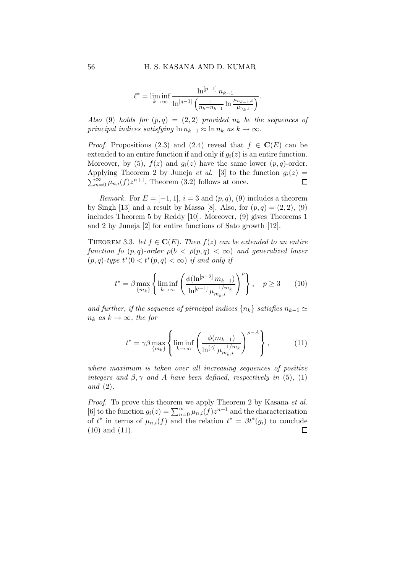$$
\ell^* = \liminf_{k \to \infty} \frac{\ln^{[p-1]} n_{k-1}}{\ln^{[q-1]} \left( \frac{1}{n_k - n_{k-1}} \ln \frac{\mu_{n_{k-1},i}}{\mu_{n_k,i}} \right)}.
$$

Also (9) holds for  $(p,q) = (2,2)$  provided  $n_k$  be the sequences of principal indices satisfying  $\ln n_{k-1} \approx \ln n_k$  as  $k \to \infty$ .

*Proof.* Propositions (2.3) and (2.4) reveal that  $f \in \mathbf{C}(E)$  can be extended to an entire function if and only if  $q_i(z)$  is an entire function. Moreover, by (5),  $f(z)$  and  $g_i(z)$  have the same lower  $(p, q)$ -order. Applying Theorem 2 by Juneja *et al.* [3] to the function  $g_i(z) =$  $\sum_{n=0}^{\infty} \mu_{n,i}(f) z^{n+1}$ , Theorem (3.2) follows at once.  $\Box$ 

Remark. For  $E = [-1, 1], i = 3$  and  $(p, q), (9)$  includes a theorem by Singh [13] and a result by Massa [8]. Also, for  $(p, q) = (2, 2), (9)$ includes Theorem 5 by Reddy [10]. Moreover, (9) gives Theorems 1 and 2 by Juneja [2] for entire functions of Sato growth [12].

THEOREM 3.3. let  $f \in \mathbf{C}(E)$ . Then  $f(z)$  can be extended to an entire function fo  $(p,q)$ -order  $\rho(b < \rho(p,q) < \infty)$  and generalized lower  $(p, q)$ -type  $t^*(0 < t^*(p, q) < \infty)$  if and only if

$$
t^* = \beta \max_{\{m_k\}} \left\{ \liminf_{k \to \infty} \left( \frac{\phi(\ln^{[p-2]} m_{k-1})}{\ln^{[q-1]} \mu_{m_k, i}^{-1/m_k}} \right)^{\rho} \right\}, \quad p \ge 3 \qquad (10)
$$

and further, if the sequence of pirncipal indices  $\{n_k\}$  satisfies  $n_{k-1} \simeq$  $n_k$  as  $k \to \infty$ , the for

$$
t^* = \gamma \beta \max_{\{m_k\}} \left\{ \liminf_{k \to \infty} \left( \frac{\phi(m_{k-1})}{\ln^{[A]} \mu_{m_k, i}^{-1/m_k}} \right)^{\rho - A} \right\},\tag{11}
$$

where maximum is taken over all increasing sequences of positive integers and  $\beta, \gamma$  and A have been defined, respectively in (5), (1) and (2).

Proof. To prove this theorem we apply Theorem 2 by Kasana et al. [6] to the function  $g_i(z) = \sum_{n=0}^{\infty} \mu_{n,i}(f) z^{n+1}$  and the characterization of  $t^*$  in terms of  $\mu_{n,i}(f)$  and the relation  $t^* = \beta t^*(g_i)$  to conclude (10) and (11). $\Box$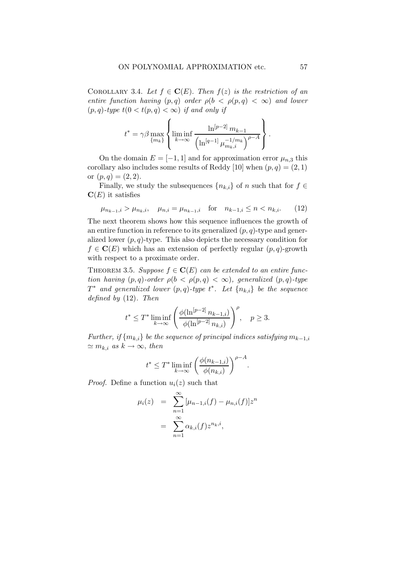COROLLARY 3.4. Let  $f \in \mathbf{C}(E)$ . Then  $f(z)$  is the restriction of an entire function having  $(p,q)$  order  $\rho(b < \rho(p,q) < \infty)$  and lower  $(p,q)$ -type  $t(0 < t(p,q) < \infty)$  if and only if

$$
t^* = \gamma \beta \max_{\{m_k\}} \left\{ \liminf_{k \to \infty} \frac{\ln^{[p-2]} m_{k-1}}{\left(\ln^{[q-1]} \mu_{m_k, i}^{-1/m_k}\right)^{p- A}} \right\}.
$$

On the domain  $E = [-1, 1]$  and for approximation error  $\mu_{n,3}$  this corollary also includes some results of Reddy [10] when  $(p, q) = (2, 1)$ or  $(p,q) = (2,2)$ .

Finally, we study the subsequences  $\{n_{k,i}\}$  of n such that for  $f \in$  $\mathbf{C}(E)$  it satisfies

$$
\mu_{n_{k-1},i} > \mu_{n_k,i}, \quad \mu_{n,i} = \mu_{n_{k-1},i} \quad \text{for} \quad n_{k-1,i} \le n < n_{k,i}.\tag{12}
$$

The next theorem shows how this sequence influences the growth of an entire function in reference to its generalized  $(p, q)$ -type and generalized lower  $(p, q)$ -type. This also depicts the necessary condition for  $f \in \mathbf{C}(E)$  which has an extension of perfectly regular  $(p, q)$ -growth with respect to a proximate order.

THEOREM 3.5. Suppose  $f \in \mathbf{C}(E)$  can be extended to an entire function having  $(p,q)$ -order  $\rho(b < \rho(p,q) < \infty)$ , generalized  $(p,q)$ -type  $T^*$  and generalized lower  $(p,q)$ -type  $t^*$ . Let  $\{n_{k,i}\}\$  be the sequence defined by (12). Then

$$
t^* \leq T^* \liminf_{k \to \infty} \left( \frac{\phi(\ln^{[p-2]} n_{k-1,i})}{\phi(\ln^{[p-2]} n_{k,i})} \right)^{\rho}, \quad p \geq 3.
$$

Further, if  ${m_{k,i}}$  be the sequence of principal indices satisfying  $m_{k-1,i}$  $\simeq m_{k,i}$  as  $k \to \infty$ , then

$$
t^* \le T^* \liminf_{k \to \infty} \left( \frac{\phi(n_{k-1,i})}{\phi(n_{k,i})} \right)^{\rho - A}
$$

.

*Proof.* Define a function  $u_i(z)$  such that

$$
\mu_i(z) = \sum_{n=1}^{\infty} [\mu_{n-1,i}(f) - \mu_{n,i}(f)] z^n
$$
  
= 
$$
\sum_{n=1}^{\infty} \alpha_{k,i}(f) z^{n_k, i},
$$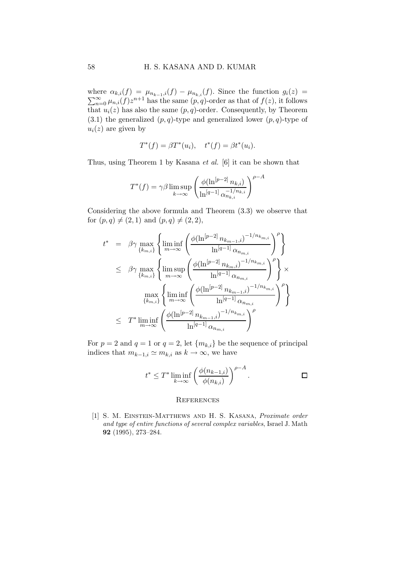where  $\alpha_{k,i}(f) = \mu_{n_{k-1},i}(f) - \mu_{n_{k,i}}(f)$ . Since the function  $g_i(z) =$  $\sum_{n=0}^{\infty} \mu_{n,i}(f) z^{n+1}$  has the same  $(p, q)$ -order as that of  $f(z)$ , it follows that  $u_i(z)$  has also the same  $(p, q)$ -order. Consequently, by Theorem  $(3.1)$  the generalized  $(p,q)$ -type and generalized lower  $(p,q)$ -type of  $u_i(z)$  are given by

$$
T^*(f) = \beta T^*(u_i), \quad t^*(f) = \beta t^*(u_i).
$$

Thus, using Theorem 1 by Kasana et al. [6] it can be shown that

$$
T^*(f) = \gamma \beta \limsup_{k \to \infty} \left( \frac{\phi(\ln^{[p-2]} n_{k,i})}{\ln^{[q-1]} \alpha_{n_{k,i}}^{-1/n_{k,i}}} \right)^{\rho - A}
$$

Considering the above formula and Theorem (3.3) we observe that for  $(p,q) \neq (2, 1)$  and  $(p,q) \neq (2, 2)$ ,

$$
t^* = \beta \gamma \max_{\{k_{m,i}\}} \left\{ \liminf_{m \to \infty} \left( \frac{\phi(\ln^{[p-2]} n_{k_{m-1},i})^{-1/n_{k_{m,i}}}}{\ln^{[q-1]} \alpha_{n_{m,i}}} \right)^{\rho} \right\}
$$
  

$$
\leq \beta \gamma \max_{\{k_{m,i}\}} \left\{ \limsup_{m \to \infty} \left( \frac{\phi(\ln^{[p-2]} n_{k_m,i})^{-1/n_{k_{m,i}}}}{\ln^{[q-1]} \alpha_{n_{m,i}}} \right)^{\rho} \right\} \times
$$
  

$$
\max_{\{k_{m,i}\}} \left\{ \liminf_{m \to \infty} \left( \frac{\phi(\ln^{[p-2]} n_{k_{m-1},i})^{-1/n_{k_{m,i}}}}{\ln^{[q-1]} \alpha_{n_{m,i}}} \right)^{\rho} \right\}
$$
  

$$
\leq T^* \liminf_{m \to \infty} \left( \frac{\phi(\ln^{[p-2]} n_{k_{m-1},i})^{-1/n_{k_{m,i}}}}{\ln^{[q-1]} \alpha_{n_{m,i}}} \right)^{\rho}
$$

For  $p = 2$  and  $q = 1$  or  $q = 2$ , let  ${m_{k,i}}$  be the sequence of principal indices that  $m_{k-1,i} \simeq m_{k,i}$  as  $k \to \infty$ , we have

$$
t^* \leq T^* \liminf_{k \to \infty} \left( \frac{\phi(n_{k-1,i})}{\phi(n_{k,i})} \right)^{\rho - A}.
$$

#### **REFERENCES**

[1] S. M. EINSTEIN-MATTHEWS AND H. S. KASANA, Proximate order and type of entire functions of several complex variables, Israel J. Math 92 (1995), 273–284.